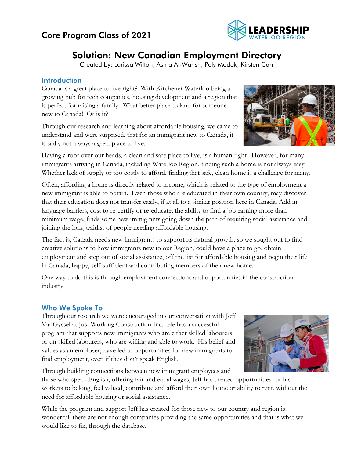# Core Program Class of 2021



# Solution: New Canadian Employment Directory

Created by: Larissa Wilton, Asma Al-Wahsh, Poly Modak, Kirsten Carr

## Introduction

Canada is a great place to live right? With Kitchener Waterloo being a growing hub for tech companies, housing development and a region that is perfect for raising a family. What better place to land for someone new to Canada! Or is it?

Through our research and learning about affordable housing, we came to understand and were surprised, that for an immigrant new to Canada, it is sadly not always a great place to live.



Having a roof over our heads, a clean and safe place to live, is a human right. However, for many immigrants arriving in Canada, including Waterloo Region, finding such a home is not always easy. Whether lack of supply or too costly to afford, finding that safe, clean home is a challenge for many.

Often, affording a home is directly related to income, which is related to the type of employment a new immigrant is able to obtain. Even those who are educated in their own country, may discover that their education does not transfer easily, if at all to a similar position here in Canada. Add in language barriers, cost to re-certify or re-educate; the ability to find a job earning more than minimum wage, finds some new immigrants going down the path of requiring social assistance and joining the long waitlist of people needing affordable housing.

The fact is, Canada needs new immigrants to support its natural growth, so we sought out to find creative solutions to how immigrants new to our Region, could have a place to go, obtain employment and step out of social assistance, off the list for affordable housing and begin their life in Canada, happy, self-sufficient and contributing members of their new home.

One way to do this is through employment connections and opportunities in the construction industry.

# Who We Spoke To

Through our research we were encouraged in our conversation with Jeff VanGyssel at Just Working Construction Inc. He has a successful program that supports new immigrants who are either skilled labourers or un-skilled labourers, who are willing and able to work. His belief and values as an employer, have led to opportunities for new immigrants to find employment, even if they don't speak English.



Through building connections between new immigrant employees and

those who speak English, offering fair and equal wages, Jeff has created opportunities for his workers to belong, feel valued, contribute and afford their own home or ability to rent, without the need for affordable housing or social assistance.

While the program and support Jeff has created for those new to our country and region is wonderful, there are not enough companies providing the same opportunities and that is what we would like to fix, through the database.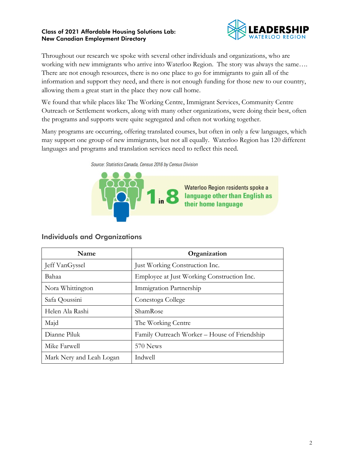

Throughout our research we spoke with several other individuals and organizations, who are working with new immigrants who arrive into Waterloo Region. The story was always the same…. There are not enough resources, there is no one place to go for immigrants to gain all of the information and support they need, and there is not enough funding for those new to our country, allowing them a great start in the place they now call home.

We found that while places like The Working Centre, Immigrant Services, Community Centre Outreach or Settlement workers, along with many other organizations, were doing their best, often the programs and supports were quite segregated and often not working together.

Many programs are occurring, offering translated courses, but often in only a few languages, which may support one group of new immigrants, but not all equally. Waterloo Region has 120 different languages and programs and translation services need to reflect this need.

Source: Statistics Canada, Census 2016 by Census Division



# Individuals and Organizations

| <b>Name</b>              | Organization                                 |
|--------------------------|----------------------------------------------|
| Jeff VanGyssel           | Just Working Construction Inc.               |
| Bahaa                    | Employee at Just Working Construction Inc.   |
| Nora Whittington         | Immigration Partnership                      |
| Safa Qoussini            | Conestoga College                            |
| Helen Ala Rashi          | ShamRose                                     |
| Majd                     | The Working Centre                           |
| Dianne Piluk             | Family Outreach Worker – House of Friendship |
| Mike Farwell             | 570 News                                     |
| Mark Nery and Leah Logan | Indwell                                      |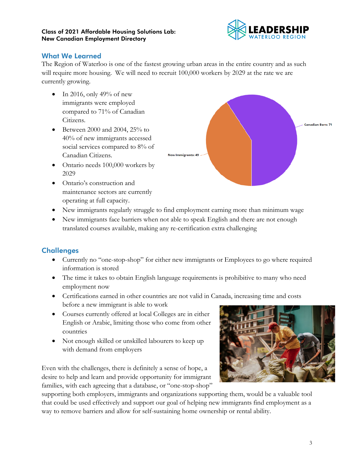

## What We Learned

The Region of Waterloo is one of the fastest growing urban areas in the entire country and as such will require more housing. We will need to recruit 100,000 workers by 2029 at the rate we are currently growing.

- In 2016, only 49% of new immigrants were employed compared to 71% of Canadian Citizens.
- Between 2000 and 2004, 25% to 40% of new immigrants accessed social services compared to 8% of Canadian Citizens.
- Ontario needs 100,000 workers by 2029
- Ontario's construction and maintenance sectors are currently operating at full capacity.
- New immigrants regularly struggle to find employment earning more than minimum wage
- New immigrants face barriers when not able to speak English and there are not enough translated courses available, making any re-certification extra challenging

# **Challenges**

- Currently no "one-stop-shop" for either new immigrants or Employees to go where required information is stored
- The time it takes to obtain English language requirements is prohibitive to many who need employment now
- Certifications earned in other countries are not valid in Canada, increasing time and costs before a new immigrant is able to work
- Courses currently offered at local Colleges are in either English or Arabic, limiting those who come from other countries
- Not enough skilled or unskilled labourers to keep up with demand from employers

Even with the challenges, there is definitely a sense of hope, a desire to help and learn and provide opportunity for immigrant families, with each agreeing that a database, or "one-stop-shop"

supporting both employers, immigrants and organizations supporting them, would be a valuable tool that could be used effectively and support our goal of helping new immigrants find employment as a way to remove barriers and allow for self-sustaining home ownership or rental ability.



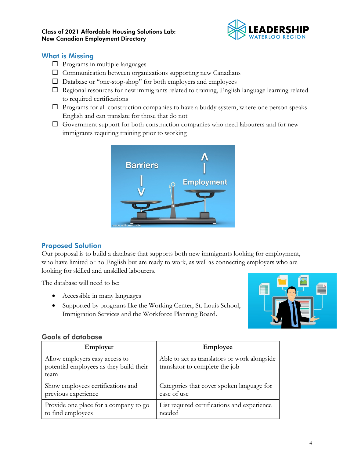

## What is Missing

- $\Box$  Programs in multiple languages
- $\square$  Communication between organizations supporting new Canadians
- Database or "one-stop-shop" for both employers and employees
- $\Box$  Regional resources for new immigrants related to training, English language learning related to required certifications
- $\Box$  Programs for all construction companies to have a buddy system, where one person speaks English and can translate for those that do not
- $\Box$  Government support for both construction companies who need labourers and for new immigrants requiring training prior to working



# Proposed Solution

Our proposal is to build a database that supports both new immigrants looking for employment, who have limited or no English but are ready to work, as well as connecting employers who are looking for skilled and unskilled labourers.

The database will need to be:

- Accessible in many languages
- Supported by programs like the Working Center, St. Louis School, Immigration Services and the Workforce Planning Board.



## Goals of database

| Employer                                                                          | Employee                                                                       |
|-----------------------------------------------------------------------------------|--------------------------------------------------------------------------------|
| Allow employers easy access to<br>potential employees as they build their<br>team | Able to act as translators or work alongside<br>translator to complete the job |
| Show employees certifications and                                                 | Categories that cover spoken language for                                      |
| previous experience                                                               | ease of use                                                                    |
| Provide one place for a company to go                                             | List required certifications and experience                                    |
| to find employees                                                                 | needed                                                                         |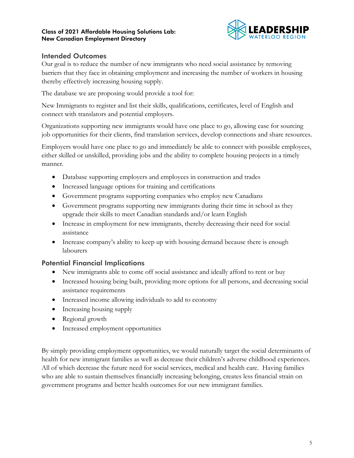

## Intended Outcomes

Our goal is to reduce the number of new immigrants who need social assistance by removing barriers that they face in obtaining employment and increasing the number of workers in housing thereby effectively increasing housing supply.

The database we are proposing would provide a tool for:

New Immigrants to register and list their skills, qualifications, certificates, level of English and connect with translators and potential employers.

Organizations supporting new immigrants would have one place to go, allowing ease for sourcing job opportunities for their clients, find translation services, develop connections and share resources.

Employers would have one place to go and immediately be able to connect with possible employees, either skilled or unskilled, providing jobs and the ability to complete housing projects in a timely manner.

- Database supporting employers and employees in construction and trades
- Increased language options for training and certifications
- Government programs supporting companies who employ new Canadians
- Government programs supporting new immigrants during their time in school as they upgrade their skills to meet Canadian standards and/or learn English
- Increase in employment for new immigrants, thereby decreasing their need for social assistance
- Increase company's ability to keep up with housing demand because there is enough labourers

# Potential Financial Implications

- New immigrants able to come off social assistance and ideally afford to rent or buy
- Increased housing being built, providing more options for all persons, and decreasing social assistance requirements
- Increased income allowing individuals to add to economy
- Increasing housing supply
- Regional growth
- Increased employment opportunities

By simply providing employment opportunities, we would naturally target the social determinants of health for new immigrant families as well as decrease their children's adverse childhood experiences. All of which decrease the future need for social services, medical and health care. Having families who are able to sustain themselves financially increasing belonging, creates less financial strain on government programs and better health outcomes for our new immigrant families.